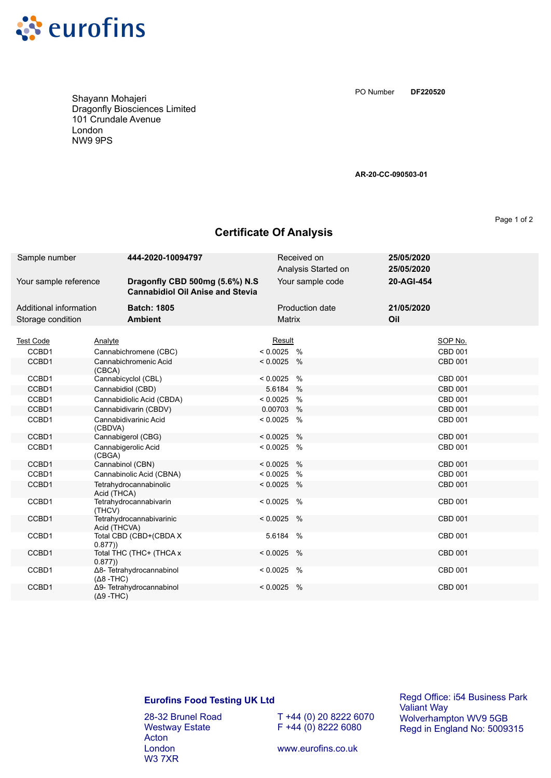

Shayann Mohajeri Dragonfly Biosciences Limited 101 Crundale Avenue London NW9 9PS

**DF220520** PO Number

**AR-20-CC-090503-01**

Page 1 of 2

## **Certificate Of Analysis**

| Sample number          | 444-2020-10094797                        |                                                                           |               | Received on<br>Analysis Started on | 25/05/2020<br>25/05/2020 |                |
|------------------------|------------------------------------------|---------------------------------------------------------------------------|---------------|------------------------------------|--------------------------|----------------|
| Your sample reference  |                                          | Dragonfly CBD 500mg (5.6%) N.S<br><b>Cannabidiol Oil Anise and Stevia</b> |               | Your sample code                   | 20-AGI-454               |                |
| Additional information | <b>Batch: 1805</b>                       |                                                                           |               | <b>Production date</b>             | 21/05/2020               |                |
| Storage condition      | <b>Ambient</b>                           |                                                                           | <b>Matrix</b> |                                    | Oil                      |                |
|                        |                                          |                                                                           |               |                                    |                          |                |
| <b>Test Code</b>       | Analyte                                  |                                                                           | Result        |                                    |                          | SOP No.        |
| CCBD1                  | Cannabichromene (CBC)                    |                                                                           | $< 0.0025$ %  |                                    |                          | <b>CBD 001</b> |
| CCBD1                  | Cannabichromenic Acid<br>(CBCA)          |                                                                           | $< 0.0025$ %  |                                    |                          | <b>CBD 001</b> |
| CCBD1                  | Cannabicyclol (CBL)                      |                                                                           | $< 0.0025$ %  |                                    |                          | <b>CBD 001</b> |
| CCBD1                  | Cannabidiol (CBD)                        |                                                                           | 5.6184 %      |                                    |                          | <b>CBD 001</b> |
| CCBD1                  | Cannabidiolic Acid (CBDA)                |                                                                           | $< 0.0025$ %  |                                    |                          | CBD 001        |
| CCBD1                  | Cannabidivarin (CBDV)                    |                                                                           | 0.00703 %     |                                    |                          | CBD 001        |
| CCBD1                  | Cannabidivarinic Acid<br>(CBDVA)         |                                                                           | $< 0.0025$ %  |                                    |                          | CBD 001        |
| CCBD1                  | Cannabigerol (CBG)                       |                                                                           | $< 0.0025$ %  |                                    |                          | <b>CBD 001</b> |
| CCBD1                  | Cannabigerolic Acid<br>(CBGA)            |                                                                           | $< 0.0025$ %  |                                    |                          | CBD 001        |
| CCBD1                  | Cannabinol (CBN)                         |                                                                           | $< 0.0025$ %  |                                    |                          | CBD 001        |
| CCBD1                  | Cannabinolic Acid (CBNA)                 |                                                                           | $< 0.0025$ %  |                                    |                          | CBD 001        |
| CCBD1                  | Tetrahydrocannabinolic<br>Acid (THCA)    |                                                                           | $< 0.0025$ %  |                                    |                          | <b>CBD 001</b> |
| CCBD1                  | Tetrahydrocannabivarin<br>(THCV)         |                                                                           | < 0.0025      | $\%$                               |                          | <b>CBD 001</b> |
| CCBD1                  | Tetrahydrocannabivarinic<br>Acid (THCVA) |                                                                           | $< 0.0025$ %  |                                    |                          | CBD 001        |
| CCBD1                  | Total CBD (CBD+(CBDA X<br>0.877)         |                                                                           | 5.6184 %      |                                    |                          | <b>CBD 001</b> |
| CCBD1                  | Total THC (THC+ (THCA x<br>0.877)        |                                                                           | $< 0.0025$ %  |                                    |                          | <b>CBD 001</b> |
| CCBD1                  | Δ8- Tetrahydrocannabinol<br>$(Δ8 - THC)$ |                                                                           | $< 0.0025$ %  |                                    |                          | <b>CBD 001</b> |
| CCBD1                  | Δ9- Tetrahydrocannabinol<br>$(Δ9 - THC)$ |                                                                           | $< 0.0025$ %  |                                    |                          | <b>CBD 001</b> |

## **Eurofins Food Testing UK Ltd**

28-32 Brunel Road Westway Estate Acton London W3 7XR

T +44 (0) 20 8222 6070  $F + 44 (0) 8222 6080$ 

Regd Office: i54 Business Park Valiant Way Wolverhampton WV9 5GB Regd in England No: 5009315